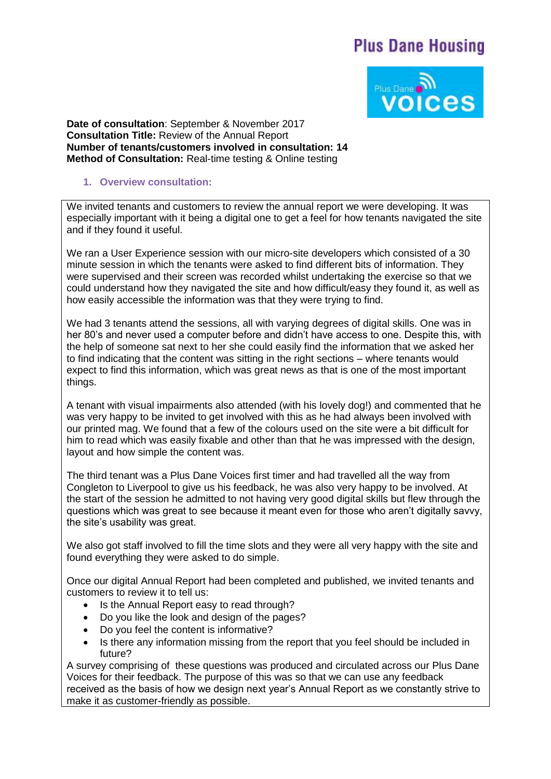## **Plus Dane Housing**



**Date of consultation**: September & November 2017 **Consultation Title:** Review of the Annual Report **Number of tenants/customers involved in consultation: 14 Method of Consultation:** Real-time testing & Online testing

## **1. Overview consultation:**

We invited tenants and customers to review the annual report we were developing. It was especially important with it being a digital one to get a feel for how tenants navigated the site and if they found it useful.

We ran a User Experience session with our micro-site developers which consisted of a 30 minute session in which the tenants were asked to find different bits of information. They were supervised and their screen was recorded whilst undertaking the exercise so that we could understand how they navigated the site and how difficult/easy they found it, as well as how easily accessible the information was that they were trying to find.

We had 3 tenants attend the sessions, all with varying degrees of digital skills. One was in her 80's and never used a computer before and didn't have access to one. Despite this, with the help of someone sat next to her she could easily find the information that we asked her to find indicating that the content was sitting in the right sections – where tenants would expect to find this information, which was great news as that is one of the most important things.

A tenant with visual impairments also attended (with his lovely dog!) and commented that he was very happy to be invited to get involved with this as he had always been involved with our printed mag. We found that a few of the colours used on the site were a bit difficult for him to read which was easily fixable and other than that he was impressed with the design, layout and how simple the content was.

The third tenant was a Plus Dane Voices first timer and had travelled all the way from Congleton to Liverpool to give us his feedback, he was also very happy to be involved. At the start of the session he admitted to not having very good digital skills but flew through the questions which was great to see because it meant even for those who aren't digitally savvy, the site's usability was great.

We also got staff involved to fill the time slots and they were all very happy with the site and found everything they were asked to do simple.

Once our digital Annual Report had been completed and published, we invited tenants and customers to review it to tell us:

- Is the Annual Report easy to read through?
- Do you like the look and design of the pages?
- Do you feel the content is informative?
- Is there any information missing from the report that you feel should be included in future?

A survey comprising of these questions was produced and circulated across our Plus Dane Voices for their feedback. The purpose of this was so that we can use any feedback received as the basis of how we design next year's Annual Report as we constantly strive to make it as customer-friendly as possible.